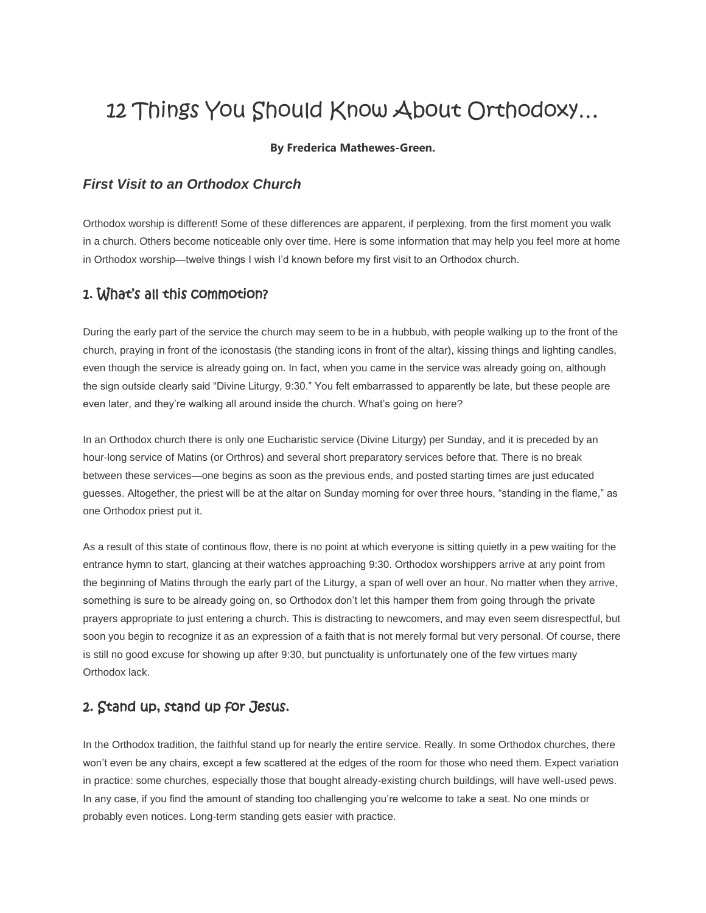# 12 Things You Should Know About Orthodoxy…

#### **By Frederica Mathewes-Green.**

#### *First Visit to an Orthodox Church*

Orthodox worship is different! Some of these differences are apparent, if perplexing, from the first moment you walk in a church. Others become noticeable only over time. Here is some information that may help you feel more at home in Orthodox worship—twelve things I wish I'd known before my first visit to an Orthodox church.

## 1. What's all this commotion?

During the early part of the service the church may seem to be in a hubbub, with people walking up to the front of the church, praying in front of the iconostasis (the standing icons in front of the altar), kissing things and lighting candles, even though the service is already going on. In fact, when you came in the service was already going on, although the sign outside clearly said "Divine Liturgy, 9:30." You felt embarrassed to apparently be late, but these people are even later, and they're walking all around inside the church. What's going on here?

In an Orthodox church there is only one Eucharistic service (Divine Liturgy) per Sunday, and it is preceded by an hour-long service of Matins (or Orthros) and several short preparatory services before that. There is no break between these services—one begins as soon as the previous ends, and posted starting times are just educated guesses. Altogether, the priest will be at the altar on Sunday morning for over three hours, "standing in the flame," as one Orthodox priest put it.

As a result of this state of continous flow, there is no point at which everyone is sitting quietly in a pew waiting for the entrance hymn to start, glancing at their watches approaching 9:30. Orthodox worshippers arrive at any point from the beginning of Matins through the early part of the Liturgy, a span of well over an hour. No matter when they arrive, something is sure to be already going on, so Orthodox don't let this hamper them from going through the private prayers appropriate to just entering a church. This is distracting to newcomers, and may even seem disrespectful, but soon you begin to recognize it as an expression of a faith that is not merely formal but very personal. Of course, there is still no good excuse for showing up after 9:30, but punctuality is unfortunately one of the few virtues many Orthodox lack.

## 2. Stand up, stand up for Jesus.

In the Orthodox tradition, the faithful stand up for nearly the entire service. Really. In some Orthodox churches, there won't even be any chairs, except a few scattered at the edges of the room for those who need them. Expect variation in practice: some churches, especially those that bought already-existing church buildings, will have well-used pews. In any case, if you find the amount of standing too challenging you're welcome to take a seat. No one minds or probably even notices. Long-term standing gets easier with practice.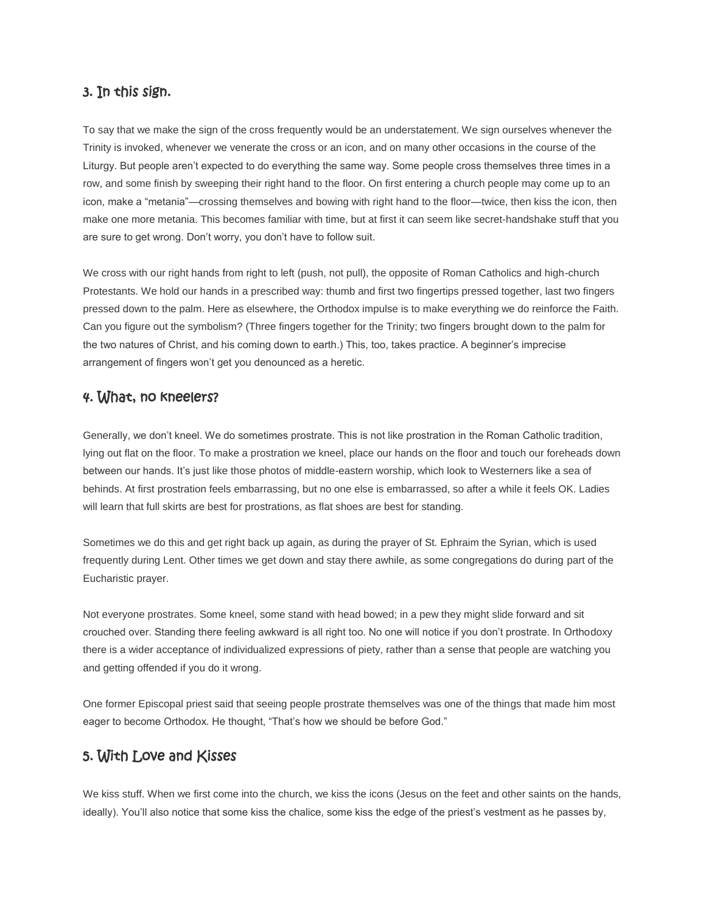#### 3. In this sign.

To say that we make the sign of the cross frequently would be an understatement. We sign ourselves whenever the Trinity is invoked, whenever we venerate the cross or an icon, and on many other occasions in the course of the Liturgy. But people aren't expected to do everything the same way. Some people cross themselves three times in a row, and some finish by sweeping their right hand to the floor. On first entering a church people may come up to an icon, make a "metania"—crossing themselves and bowing with right hand to the floor—twice, then kiss the icon, then make one more metania. This becomes familiar with time, but at first it can seem like secret-handshake stuff that you are sure to get wrong. Don't worry, you don't have to follow suit.

We cross with our right hands from right to left (push, not pull), the opposite of Roman Catholics and high-church Protestants. We hold our hands in a prescribed way: thumb and first two fingertips pressed together, last two fingers pressed down to the palm. Here as elsewhere, the Orthodox impulse is to make everything we do reinforce the Faith. Can you figure out the symbolism? (Three fingers together for the Trinity; two fingers brought down to the palm for the two natures of Christ, and his coming down to earth.) This, too, takes practice. A beginner's imprecise arrangement of fingers won't get you denounced as a heretic.

#### 4. What, no kneelers?

Generally, we don't kneel. We do sometimes prostrate. This is not like prostration in the Roman Catholic tradition, lying out flat on the floor. To make a prostration we kneel, place our hands on the floor and touch our foreheads down between our hands. It's just like those photos of middle-eastern worship, which look to Westerners like a sea of behinds. At first prostration feels embarrassing, but no one else is embarrassed, so after a while it feels OK. Ladies will learn that full skirts are best for prostrations, as flat shoes are best for standing.

Sometimes we do this and get right back up again, as during the prayer of St. Ephraim the Syrian, which is used frequently during Lent. Other times we get down and stay there awhile, as some congregations do during part of the Eucharistic prayer.

Not everyone prostrates. Some kneel, some stand with head bowed; in a pew they might slide forward and sit crouched over. Standing there feeling awkward is all right too. No one will notice if you don't prostrate. In Orthodoxy there is a wider acceptance of individualized expressions of piety, rather than a sense that people are watching you and getting offended if you do it wrong.

One former Episcopal priest said that seeing people prostrate themselves was one of the things that made him most eager to become Orthodox. He thought, "That's how we should be before God."

# 5. With Love and Kisses

We kiss stuff. When we first come into the church, we kiss the icons (Jesus on the feet and other saints on the hands, ideally). You'll also notice that some kiss the chalice, some kiss the edge of the priest's vestment as he passes by,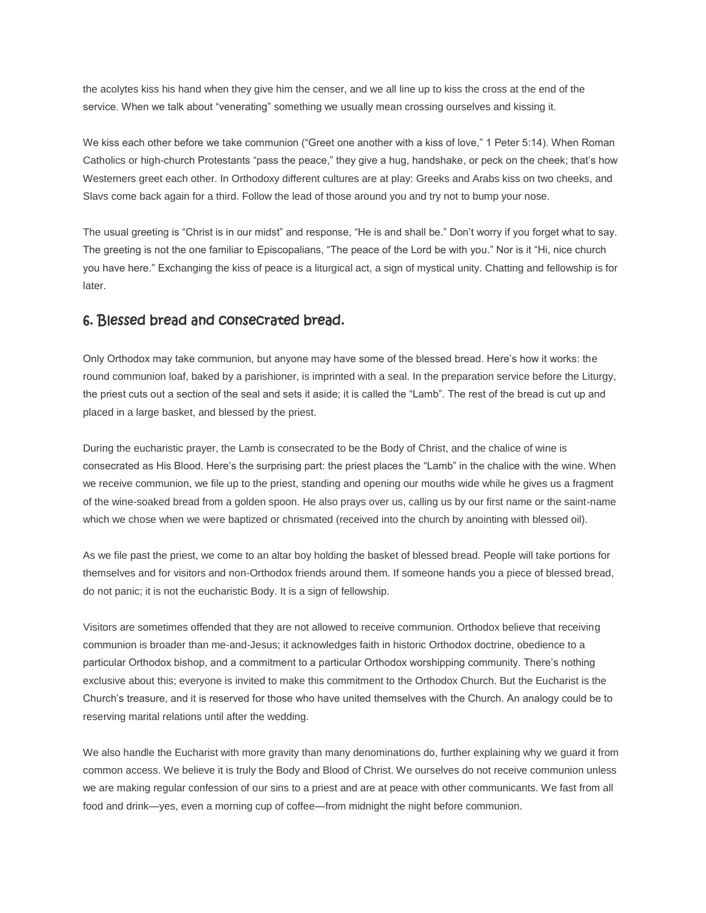the acolytes kiss his hand when they give him the censer, and we all line up to kiss the cross at the end of the service. When we talk about "venerating" something we usually mean crossing ourselves and kissing it.

We kiss each other before we take communion ("Greet one another with a kiss of love," 1 Peter 5:14). When Roman Catholics or high-church Protestants "pass the peace," they give a hug, handshake, or peck on the cheek; that's how Westerners greet each other. In Orthodoxy different cultures are at play: Greeks and Arabs kiss on two cheeks, and Slavs come back again for a third. Follow the lead of those around you and try not to bump your nose.

The usual greeting is "Christ is in our midst" and response, "He is and shall be." Don't worry if you forget what to say. The greeting is not the one familiar to Episcopalians, "The peace of the Lord be with you." Nor is it "Hi, nice church you have here." Exchanging the kiss of peace is a liturgical act, a sign of mystical unity. Chatting and fellowship is for later.

#### 6. Blessed bread and consecrated bread.

Only Orthodox may take communion, but anyone may have some of the blessed bread. Here's how it works: the round communion loaf, baked by a parishioner, is imprinted with a seal. In the preparation service before the Liturgy, the priest cuts out a section of the seal and sets it aside; it is called the "Lamb". The rest of the bread is cut up and placed in a large basket, and blessed by the priest.

During the eucharistic prayer, the Lamb is consecrated to be the Body of Christ, and the chalice of wine is consecrated as His Blood. Here's the surprising part: the priest places the "Lamb" in the chalice with the wine. When we receive communion, we file up to the priest, standing and opening our mouths wide while he gives us a fragment of the wine-soaked bread from a golden spoon. He also prays over us, calling us by our first name or the saint-name which we chose when we were baptized or chrismated (received into the church by anointing with blessed oil).

As we file past the priest, we come to an altar boy holding the basket of blessed bread. People will take portions for themselves and for visitors and non-Orthodox friends around them. If someone hands you a piece of blessed bread, do not panic; it is not the eucharistic Body. It is a sign of fellowship.

Visitors are sometimes offended that they are not allowed to receive communion. Orthodox believe that receiving communion is broader than me-and-Jesus; it acknowledges faith in historic Orthodox doctrine, obedience to a particular Orthodox bishop, and a commitment to a particular Orthodox worshipping community. There's nothing exclusive about this; everyone is invited to make this commitment to the Orthodox Church. But the Eucharist is the Church's treasure, and it is reserved for those who have united themselves with the Church. An analogy could be to reserving marital relations until after the wedding.

We also handle the Eucharist with more gravity than many denominations do, further explaining why we guard it from common access. We believe it is truly the Body and Blood of Christ. We ourselves do not receive communion unless we are making regular confession of our sins to a priest and are at peace with other communicants. We fast from all food and drink—yes, even a morning cup of coffee—from midnight the night before communion.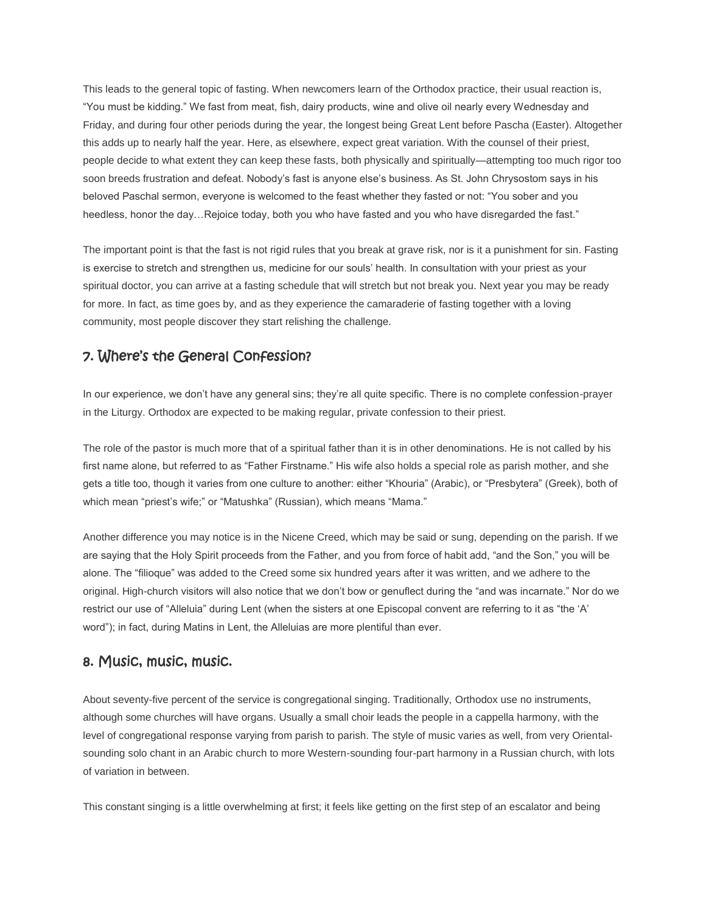This leads to the general topic of fasting. When newcomers learn of the Orthodox practice, their usual reaction is, "You must be kidding." We fast from meat, fish, dairy products, wine and olive oil nearly every Wednesday and Friday, and during four other periods during the year, the longest being Great Lent before Pascha (Easter). Altogether this adds up to nearly half the year. Here, as elsewhere, expect great variation. With the counsel of their priest, people decide to what extent they can keep these fasts, both physically and spiritually—attempting too much rigor too soon breeds frustration and defeat. Nobody's fast is anyone else's business. As St. John Chrysostom says in his beloved Paschal sermon, everyone is welcomed to the feast whether they fasted or not: "You sober and you heedless, honor the day…Rejoice today, both you who have fasted and you who have disregarded the fast."

The important point is that the fast is not rigid rules that you break at grave risk, nor is it a punishment for sin. Fasting is exercise to stretch and strengthen us, medicine for our souls' health. In consultation with your priest as your spiritual doctor, you can arrive at a fasting schedule that will stretch but not break you. Next year you may be ready for more. In fact, as time goes by, and as they experience the camaraderie of fasting together with a loving community, most people discover they start relishing the challenge.

## 7. Where's the General Confession?

In our experience, we don't have any general sins; they're all quite specific. There is no complete confession-prayer in the Liturgy. Orthodox are expected to be making regular, private confession to their priest.

The role of the pastor is much more that of a spiritual father than it is in other denominations. He is not called by his first name alone, but referred to as "Father Firstname." His wife also holds a special role as parish mother, and she gets a title too, though it varies from one culture to another: either "Khouria" (Arabic), or "Presbytera" (Greek), both of which mean "priest's wife;" or "Matushka" (Russian), which means "Mama."

Another difference you may notice is in the Nicene Creed, which may be said or sung, depending on the parish. If we are saying that the Holy Spirit proceeds from the Father, and you from force of habit add, "and the Son," you will be alone. The "filioque" was added to the Creed some six hundred years after it was written, and we adhere to the original. High-church visitors will also notice that we don't bow or genuflect during the "and was incarnate." Nor do we restrict our use of "Alleluia" during Lent (when the sisters at one Episcopal convent are referring to it as "the 'A' word"); in fact, during Matins in Lent, the Alleluias are more plentiful than ever.

## 8. Music, music, music.

About seventy-five percent of the service is congregational singing. Traditionally, Orthodox use no instruments, although some churches will have organs. Usually a small choir leads the people in a cappella harmony, with the level of congregational response varying from parish to parish. The style of music varies as well, from very Orientalsounding solo chant in an Arabic church to more Western-sounding four-part harmony in a Russian church, with lots of variation in between.

This constant singing is a little overwhelming at first; it feels like getting on the first step of an escalator and being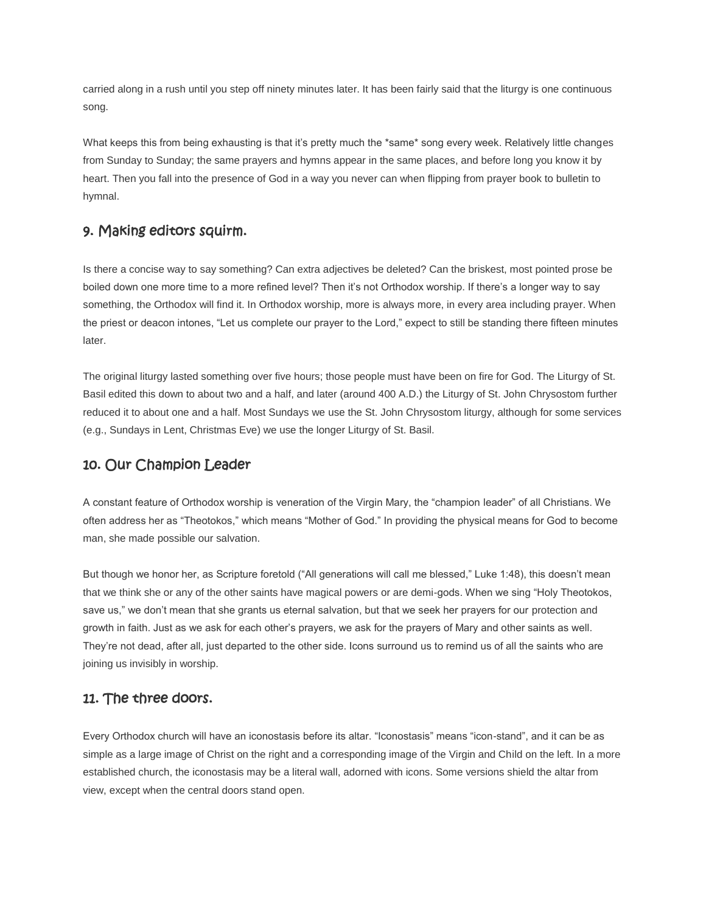carried along in a rush until you step off ninety minutes later. It has been fairly said that the liturgy is one continuous song.

What keeps this from being exhausting is that it's pretty much the \*same\* song every week. Relatively little changes from Sunday to Sunday; the same prayers and hymns appear in the same places, and before long you know it by heart. Then you fall into the presence of God in a way you never can when flipping from prayer book to bulletin to hymnal.

#### 9. Making editors squirm.

Is there a concise way to say something? Can extra adjectives be deleted? Can the briskest, most pointed prose be boiled down one more time to a more refined level? Then it's not Orthodox worship. If there's a longer way to say something, the Orthodox will find it. In Orthodox worship, more is always more, in every area including prayer. When the priest or deacon intones, "Let us complete our prayer to the Lord," expect to still be standing there fifteen minutes later.

The original liturgy lasted something over five hours; those people must have been on fire for God. The Liturgy of St. Basil edited this down to about two and a half, and later (around 400 A.D.) the Liturgy of St. John Chrysostom further reduced it to about one and a half. Most Sundays we use the St. John Chrysostom liturgy, although for some services (e.g., Sundays in Lent, Christmas Eve) we use the longer Liturgy of St. Basil.

## 10. Our Champion Leader

A constant feature of Orthodox worship is veneration of the Virgin Mary, the "champion leader" of all Christians. We often address her as "Theotokos," which means "Mother of God." In providing the physical means for God to become man, she made possible our salvation.

But though we honor her, as Scripture foretold ("All generations will call me blessed," Luke 1:48), this doesn't mean that we think she or any of the other saints have magical powers or are demi-gods. When we sing "Holy Theotokos, save us," we don't mean that she grants us eternal salvation, but that we seek her prayers for our protection and growth in faith. Just as we ask for each other's prayers, we ask for the prayers of Mary and other saints as well. They're not dead, after all, just departed to the other side. Icons surround us to remind us of all the saints who are joining us invisibly in worship.

## 11. The three doors.

Every Orthodox church will have an iconostasis before its altar. "Iconostasis" means "icon-stand", and it can be as simple as a large image of Christ on the right and a corresponding image of the Virgin and Child on the left. In a more established church, the iconostasis may be a literal wall, adorned with icons. Some versions shield the altar from view, except when the central doors stand open.